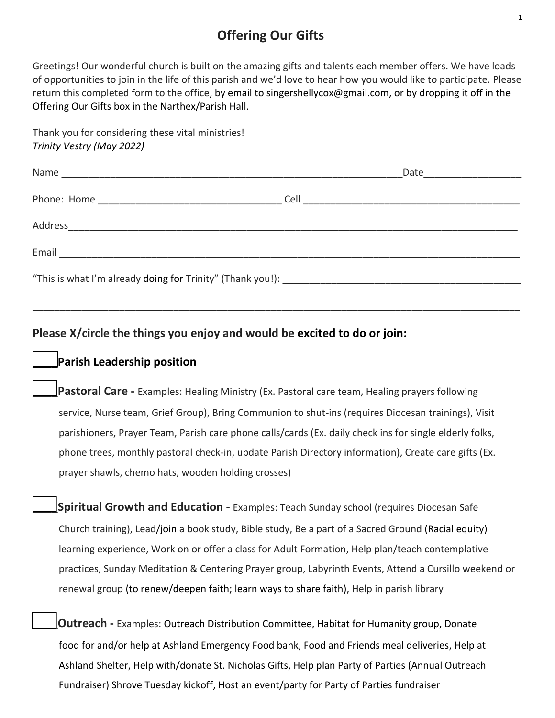# **Offering Our Gifts**

Greetings! Our wonderful church is built on the amazing gifts and talents each member offers. We have loads of opportunities to join in the life of this parish and we'd love to hear how you would like to participate. Please return this completed form to the office, by email to singershellycox@gmail.com, or by dropping it off in the Offering Our Gifts box in the Narthex/Parish Hall.

| Thank you for considering these vital ministries! |
|---------------------------------------------------|
| Trinity Vestry (May 2022)                         |

|  | Date ____________________ |
|--|---------------------------|
|  |                           |
|  |                           |
|  |                           |
|  |                           |

\_\_\_\_\_\_\_\_\_\_\_\_\_\_\_\_\_\_\_\_\_\_\_\_\_\_\_\_\_\_\_\_\_\_\_\_\_\_\_\_\_\_\_\_\_\_\_\_\_\_\_\_\_\_\_\_\_\_\_\_\_\_\_\_\_\_\_\_\_\_\_\_\_\_\_\_\_\_\_\_\_\_\_\_\_\_\_\_\_\_

**Please X/circle the things you enjoy and would be excited to do or join:**

## \_\_\_\_**Parish Leadership position**

\_\_\_\_**Pastoral Care -** Examples: Healing Ministry (Ex. Pastoral care team, Healing prayers following service, Nurse team, Grief Group), Bring Communion to shut-ins (requires Diocesan trainings), Visit parishioners, Prayer Team, Parish care phone calls/cards (Ex. daily check ins for single elderly folks, phone trees, monthly pastoral check-in, update Parish Directory information), Create care gifts (Ex. prayer shawls, chemo hats, wooden holding crosses)

\_\_\_\_**Spiritual Growth and Education -** Examples: Teach Sunday school (requires Diocesan Safe Church training), Lead/join a book study, Bible study, Be a part of a Sacred Ground (Racial equity) learning experience, Work on or offer a class for Adult Formation, Help plan/teach contemplative practices, Sunday Meditation & Centering Prayer group, Labyrinth Events, Attend a Cursillo weekend or renewal group (to renew/deepen faith; learn ways to share faith), Help in parish library

\_\_\_\_**Outreach -** Examples: Outreach Distribution Committee, Habitat for Humanity group, Donate food for and/or help at Ashland Emergency Food bank, Food and Friends meal deliveries, Help at Ashland Shelter, Help with/donate St. Nicholas Gifts, Help plan Party of Parties (Annual Outreach Fundraiser) Shrove Tuesday kickoff, Host an event/party for Party of Parties fundraiser